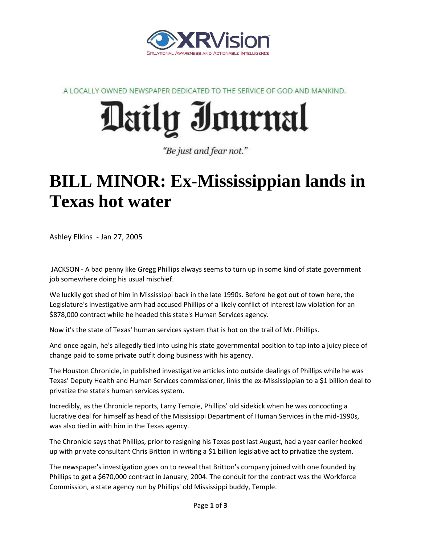

A LOCALLY OWNED NEWSPAPER DEDICATED TO THE SERVICE OF GOD AND MANKIND.

## Daily Journal

"Be just and fear not."

## **BILL MINOR: Ex-Mississippian lands in Texas hot water**

Ashley Elkins - Jan 27, 2005

JACKSON - A bad penny like Gregg Phillips always seems to turn up in some kind of state government job somewhere doing his usual mischief.

We luckily got shed of him in Mississippi back in the late 1990s. Before he got out of town here, the Legislature's investigative arm had accused Phillips of a likely conflict of interest law violation for an \$878,000 contract while he headed this state's Human Services agency.

Now it's the state of Texas' human services system that is hot on the trail of Mr. Phillips.

And once again, he's allegedly tied into using his state governmental position to tap into a juicy piece of change paid to some private outfit doing business with his agency.

The Houston Chronicle, in published investigative articles into outside dealings of Phillips while he was Texas' Deputy Health and Human Services commissioner, links the ex-Mississippian to a \$1 billion deal to privatize the state's human services system.

Incredibly, as the Chronicle reports, Larry Temple, Phillips' old sidekick when he was concocting a lucrative deal for himself as head of the Mississippi Department of Human Services in the mid-1990s, was also tied in with him in the Texas agency.

The Chronicle says that Phillips, prior to resigning his Texas post last August, had a year earlier hooked up with private consultant Chris Britton in writing a \$1 billion legislative act to privatize the system.

The newspaper's investigation goes on to reveal that Britton's company joined with one founded by Phillips to get a \$670,000 contract in January, 2004. The conduit for the contract was the Workforce Commission, a state agency run by Phillips' old Mississippi buddy, Temple.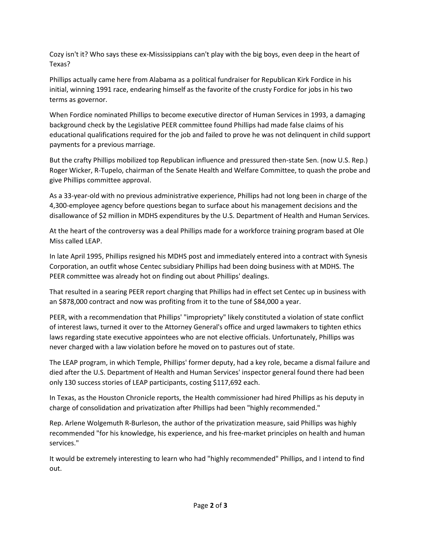Cozy isn't it? Who says these ex-Mississippians can't play with the big boys, even deep in the heart of Texas?

Phillips actually came here from Alabama as a political fundraiser for Republican Kirk Fordice in his initial, winning 1991 race, endearing himself as the favorite of the crusty Fordice for jobs in his two terms as governor.

When Fordice nominated Phillips to become executive director of Human Services in 1993, a damaging background check by the Legislative PEER committee found Phillips had made false claims of his educational qualifications required for the job and failed to prove he was not delinquent in child support payments for a previous marriage.

But the crafty Phillips mobilized top Republican influence and pressured then-state Sen. (now U.S. Rep.) Roger Wicker, R-Tupelo, chairman of the Senate Health and Welfare Committee, to quash the probe and give Phillips committee approval.

As a 33-year-old with no previous administrative experience, Phillips had not long been in charge of the 4,300-employee agency before questions began to surface about his management decisions and the disallowance of \$2 million in MDHS expenditures by the U.S. Department of Health and Human Services.

At the heart of the controversy was a deal Phillips made for a workforce training program based at Ole Miss called LEAP.

In late April 1995, Phillips resigned his MDHS post and immediately entered into a contract with Synesis Corporation, an outfit whose Centec subsidiary Phillips had been doing business with at MDHS. The PEER committee was already hot on finding out about Phillips' dealings.

That resulted in a searing PEER report charging that Phillips had in effect set Centec up in business with an \$878,000 contract and now was profiting from it to the tune of \$84,000 a year.

PEER, with a recommendation that Phillips' "impropriety" likely constituted a violation of state conflict of interest laws, turned it over to the Attorney General's office and urged lawmakers to tighten ethics laws regarding state executive appointees who are not elective officials. Unfortunately, Phillips was never charged with a law violation before he moved on to pastures out of state.

The LEAP program, in which Temple, Phillips' former deputy, had a key role, became a dismal failure and died after the U.S. Department of Health and Human Services' inspector general found there had been only 130 success stories of LEAP participants, costing \$117,692 each.

In Texas, as the Houston Chronicle reports, the Health commissioner had hired Phillips as his deputy in charge of consolidation and privatization after Phillips had been "highly recommended."

Rep. Arlene Wolgemuth R-Burleson, the author of the privatization measure, said Phillips was highly recommended "for his knowledge, his experience, and his free-market principles on health and human services."

It would be extremely interesting to learn who had "highly recommended" Phillips, and I intend to find out.